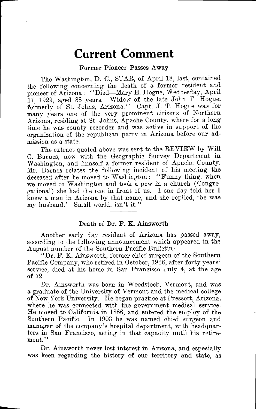# **Current Comment**

### Former Pioneer Passes Away

The Washington, D. C., STAR, of April 18, last, contained the following concerning the death of a former resident and pioneer of Arizona : "Died—Mary E. Hogue, Wednesday, April 17, 1929, aged 88 years. Widow of the late John T. Hogue, formerly of St. Johns, Arizona." Capt. J. T. Hogue was for many years one of the very prominent citizens of Northern Arizona, residing at St. Johns, Apache County, where for a long time he was county recorder and was active in support of the organization of the republican party in Arizona before our admission as a state.

The extract quoted above was sent to the REVIEW by Will C. Barnes, now with the Geographic Survey Department in Washington, and himself a former resident of Apache County. Mr. Barnes relates the following incident of his meeting the deceased after he moved to Washington : "Funny thing, when we moved to Washington and took a pew in a church (Congregational) she had the one in front of us. I one day told her I knew a man in Arizona by that name, and she replied, 'he was my husband.' Small world, isn't it."

## Death of Dr. F. **K.** Ainsworth

Another early day resident of Arizona has passed away, according to the following announcement which appeared in the August number of the Southern Pacific Bulletin :

"Dr. F. K. Ainsworth, former chief surgeon of the Southern Pacific Company, who retired in October, 1926, after forty years' service, died at his home in San Francisco July 4, at the age of 72.

Dr. Ainsworth was born in Woodstock, Vermont, and was a graduate of the University of Vermont and the medical college of New York University. He began practice at Prescott, Arizona, where he was connected with the government medical service. He moved to California in 1886, and entered the employ of the Southern Pacific. In 1903 he was named chief surgeon and manager of the company's hospital department, with headquarters in San Francisco, acting in that capacity until his retirement."

Dr. Ainsworth never lost interest in Arizona, and especially was keen regarding the history of our territory and state, as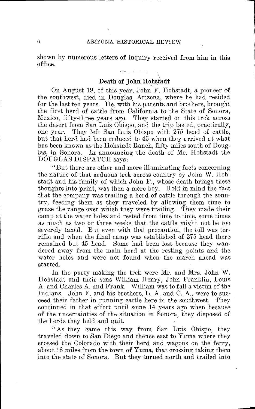shown by numerous letters of inquiry received from him in this office.

# Death of John Hohstadt

On August 19, of this year, John F. Hohstadt, a pioneer of the southwest, died in Douglas, Arizona, where he had resided for the last ten years. He, with his parents and brothers, brought the first herd of cattle from California to the State of Sonora, Mexico, fifty-three years ago. They started on this trek across the desert from San Luis Obispo, and the trip lasted, practically, They left San Luis Obispo with 275 head of cattle, but that herd had been reduced to 45 when they arrived at what has been known as the Hohstadt Ranch, fifty miles south of Douglas, in Sonora. In announcing the death of Mr. Hohstadt the DOUGLAS DISPATCH says:

"But there are other and more illuminating facts concerning the nature of that arduous trek across country by John W. Hohstadt and his family of which John F., whose death brings these thoughts into print, was then a mere boy. Hold in mind the fact that the company was trailing a herd of cattle through the country, feeding them as they traveled by allowing them time to graze the range over which they were trailing. They made their camp at the water holes and rested from time to time, some times as much as two or three weeks that the cattle might not be too severely taxed. But even with that precaution, the toll was terrific and when the final camp was established of 275 head there remained but 45 head. Some had been lost because they wandered away from the main herd at the resting points and the water holes and were not found when the march ahead was started.

In the party making the trek were Mr. and Mrs. John W. Hohstadt and their sons William Henry, John Franklin, Louis A. and Charles A. and Frank. William was to fall a victim of the Indians. John F. and his brothers, L. A. and C. A., were to succeed their father in running cattle here in the southwest. They continued in that effort until some 14 years ago when because of the uncertainties of the situation in Sonora, they disposed of the herds they held and quit.

"As they came this way from San Luis Obispo, they traveled down to San Diego and thence east to Yuma where they crossed the Colorado with their herd and wagons on the ferry, about 18 miles from the town of Yuma, that crossing taking them into the state of Sonora. But they turned north and trailed into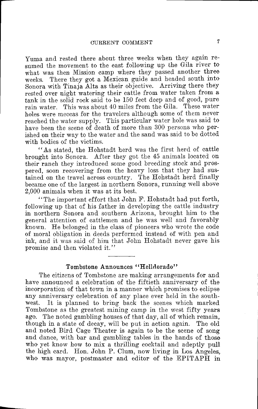Yuma and rested there about three weeks when they again resumed the movement to the east following up the Gila river to what was then Mission camp where they passed another three weeks. There they got a Mexican guide and headed south into Sonora with Tinaja Alta as their objective. Arriving there they rested over night watering their cattle from water taken from a tank in the solid rock said to be 150 feet deep and of good, pure rain water. This was about 40 miles from the Gila. These water holes were meccas for the travelers although some of them never reached the water supply. This particular water hole was said to have been the scene of death of more than 300 persons who perished on their way to the water and the sand was said to be dotted with bodies of the victims.

"As stated, the Hohstadt herd was the first herd of cattle brought into Sonora. After they got the 45 animals located on their ranch they introduced some good breeding stock and prospered, soon recovering from the heavy loss that they had sustained on the travel across country. The Hohstadt herd finally became one of the largest in northern Sonora, running well above 2,000 animals when it was at its best.

"The important effort that John F. Hohstadt had put forth, following up that of his father in developing the cattle industry in northern Sonora and southern Arizona, brought him to the general attention of cattlemen and he was well and favorably known. He belonged in the class of pioneers who wrote the code of moral obligation in deeds performed instead of with pen and ink, and it was said of him that John Hohstadt never gave his promise and then violated it."

#### Tombstone Announces "Helldorado"

The citizens of Tombstone are making arrangements for and have announced a celebration of the fiftieth anniversary of the incorporation of that town in a manner which promises to eclipse any anniversary celebration of any place ever held in the southwest. It is planned to bring back the scenes which marked Tombstone as the greatest mining camp in the west fifty years ago. The noted gambling houses of that day, all of which remain, though in a state of decay, will be put in action again. The old and noted Bird Cage Theater is again to be the scene of song and dance, with bar and gambling tables in the hands of those who yet know how to mix a thrilling cocktail and adeptly pull the high card. Hon. John P. Clum, now living in Los Angeles, who was mayor, postmaster and editor of the EPITAPH in